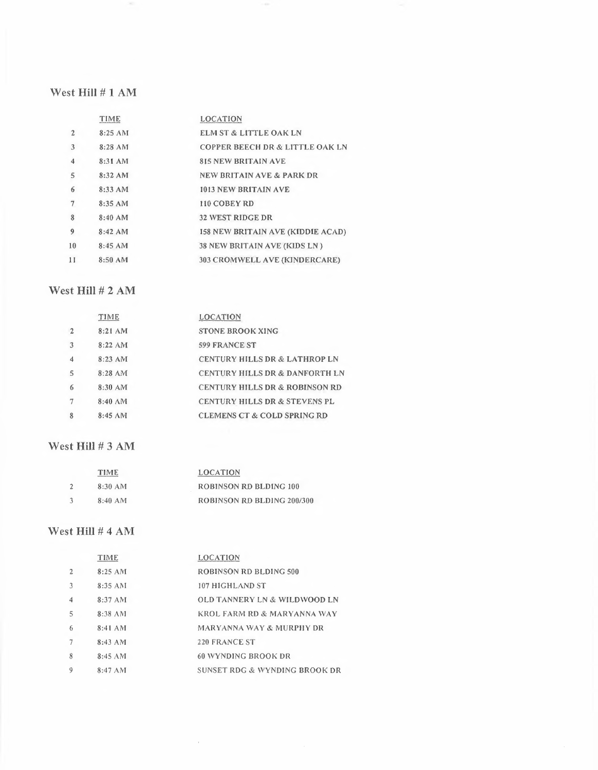### West Hill # 1 AM

 $\sim$ 

|                         | TIME      | <b>LOCATION</b>                            |
|-------------------------|-----------|--------------------------------------------|
| $\mathfrak{D}$          | 8:25 AM   | <b>ELM ST &amp; LITTLE OAK LN</b>          |
| 3                       | $8:28$ AM | <b>COPPER BEECH DR &amp; LITTLE OAK LN</b> |
| $\overline{\mathbf{4}}$ | 8:31 AM   | <b>815 NEW BRITAIN AVE</b>                 |
| 5                       | $8:32$ AM | <b>NEW BRITAIN AVE &amp; PARK DR</b>       |
| 6                       | 8:33 AM   | 1013 NEW BRITAIN AVE                       |
| 7                       | 8:35AM    | 110 COBEY RD                               |
| 8                       | 8:40 AM   | <b>32 WEST RIDGE DR</b>                    |
| 9                       | $8:42$ AM | <b>158 NEW BRITAIN AVE (KIDDIE ACAD)</b>   |
| 10                      | $8:45$ AM | 38 NEW BRITAIN AVE (KIDS LN)               |
| 11                      | 8:50 AM   | 303 CROMWELL AVE (KINDERCARE)              |

 $\sim 10^{11}$ 

## West Hill # 2 AM

|                | TIME       | <b>LOCATION</b>                           |
|----------------|------------|-------------------------------------------|
| $\overline{2}$ | 8:21 AM    | <b>STONE BROOK XING</b>                   |
|                | $8:22$ AM  | 599 FRANCE ST                             |
|                | $8:23$ ANI | <b>CENTURY HILLS DR &amp; LATHROP LN</b>  |
| $\overline{5}$ | $8:28$ AM  | <b>CENTURY HILLS DR &amp; DANFORTH LN</b> |
|                | $8:30$ AM  | <b>CENTURY HILLS DR &amp; ROBINSON RD</b> |
|                | $8:40$ AM  | <b>CENTURY HILLS DR &amp; STEVENS PL</b>  |
|                | $8:45$ AM  | <b>CLEMENS CT &amp; COLD SPRING RD</b>    |
|                |            |                                           |

### West **Hill#** 3 **AM**

| <b>TIME</b> | <b>LOCATION</b>            |
|-------------|----------------------------|
| 8:30 AM     | ROBINSON RD BLDING 100     |
| $8:40$ AM   | ROBINSON RD BLDING 200/300 |

### West Hill # 4 AM

|                     | <b>TIME</b> | LOCATION                                |
|---------------------|-------------|-----------------------------------------|
| $\overline{2}$      | $8:25$ AM   | ROBINSON RD BLDING 500                  |
| 3                   | 8:35 ANI    | 107 HIGHLAND ST                         |
| $\overline{\bf{4}}$ | $8:37$ AM   | <b>OLD TANNERY LN &amp; WILDWOOD LN</b> |
| 5                   | $8:38$ AM   | KROL FARM RD & MARYANNA WAY             |
| 6                   | $8:41$ AM   | <b>MARYANNA WAY &amp; MURPHY DR</b>     |
|                     | $8:43$ AM   | <b>220 FRANCE ST</b>                    |
| 8                   | 8:45AM      | 60 WYNDING BROOK DR                     |
| 9                   | 8:47 AM     | SUNSET RDG & WYNDING BROOK DR           |

 $\bar{\tau}$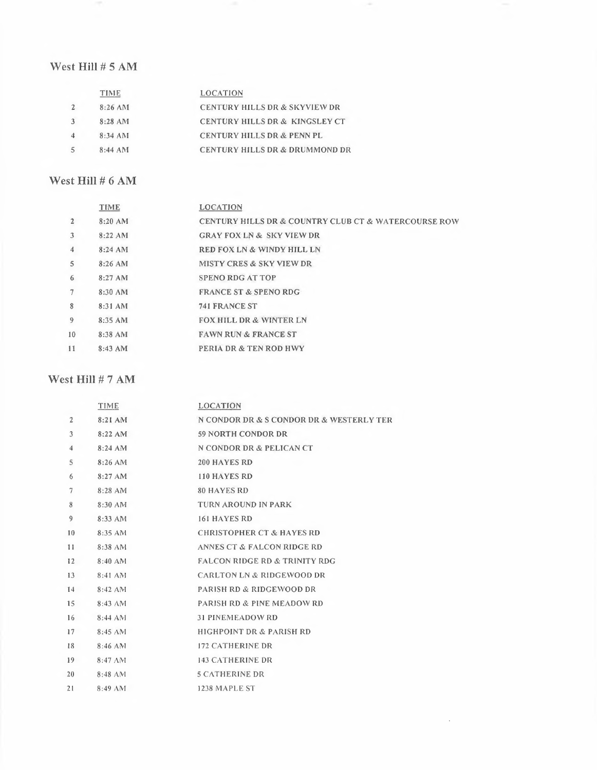### West **Hill #** 5 AM

| TIME       | <b>LOCATION</b>                           |
|------------|-------------------------------------------|
| 8:26 AM    | CENTURY HILLS DR & SKYVIEW DR             |
| $8:28$ AM  | CENTURY HILLS DR & KINGSLEY CT            |
| $8:34$ ANI | <b>CENTURY HILLS DR &amp; PENN PL</b>     |
| $8:44$ AM  | <b>CENTURY HILLS DR &amp; DRUMMOND DR</b> |
|            |                                           |

### West **Hill#** 6 AM

|                | TIME      | <b>LOCATION</b>                                      |
|----------------|-----------|------------------------------------------------------|
| $\overline{2}$ | $8:20$ AM | CENTURY HILLS DR & COUNTRY CLUB CT & WATERCOURSE ROW |
| 3              | $8:22$ AM | <b>GRAY FOX LN &amp; SKY VIEW DR</b>                 |
| 4              | 8:24 AM   | <b>RED FOX LN &amp; WINDY HILL LN</b>                |
| 5              | $8:26$ AM | <b>MISTY CRES &amp; SKY VIEW DR</b>                  |
| 6              | $8:27$ AM | SPENO RDG AT TOP                                     |
| $\tau$         | 8:30 AM   | <b>FRANCE ST &amp; SPENO RDG</b>                     |
| 8              | 8:31 AM   | <b>741 FRANCE ST</b>                                 |
| 9              | $8:35$ AM | <b>FOX HILL DR &amp; WINTER LN</b>                   |
| 10             | 8:38 AM   | <b>FAWN RUN &amp; FRANCE ST</b>                      |
| $_{11}$        | $8:43$ AM | <b>PERIA DR &amp; TEN ROD HWY</b>                    |
|                |           |                                                      |

×

 $\mathcal{L}$ 

### West **Hill#** 7 AM

|                 | TIME                | <b>LOCATION</b>                          |
|-----------------|---------------------|------------------------------------------|
| $\overline{2}$  | 8:21 AM             | N CONDOR DR & S CONDOR DR & WESTERLY TER |
| 3               | 8:22 AM             | <b>59 NORTH CONDOR DR</b>                |
| $\overline{4}$  | $8:24$ AM           | N CONDOR DR & PELICAN CT                 |
| 5               | 8:26 AM             | <b>200 HAYES RD</b>                      |
| 6               | 8:27AM              | 110 HAYES RD                             |
| $7\phantom{.0}$ | 8:28 AM             | <b>80 HAYES RD</b>                       |
| 8               | 8:30 AM             | <b>TURN AROUND IN PARK</b>               |
| 9               | 8:33 AM             | 161 HAYES RD                             |
| 10              | 8:35 AM             | <b>CHRISTOPHER CT &amp; HAYES RD</b>     |
| 11              | 8:38 AM             | ANNES CT & FALCON RIDGE RD               |
| 12              | 8:40 AM             | <b>FALCON RIDGE RD &amp; TRINITY RDG</b> |
| 13              | 8:41 AM             | <b>CARLTON LN &amp; RIDGEWOOD DR</b>     |
| 14              | $8:42$ AM           | <b>PARISH RD &amp; RIDGEWOOD DR</b>      |
| 15              | 8:43 AM             | <b>PARISH RD &amp; PINE MEADOW RD</b>    |
| 16              | $8:44$ AM           | <b>31 PINEMEADOW RD</b>                  |
| 17              | $8:45 \, \text{AM}$ | <b>HIGHPOINT DR &amp; PARISH RD</b>      |
| 18              | 8:46 AM             | <b>172 CATHERINE DR</b>                  |
| 19              | $8:47 \text{ AM}$   | <b>143 CATHERINE DR</b>                  |
| 20              | $8:48$ AM           | <b>5 CATHERINE DR</b>                    |
| 21              | $8:49$ AM           | 1238 MAPLE ST                            |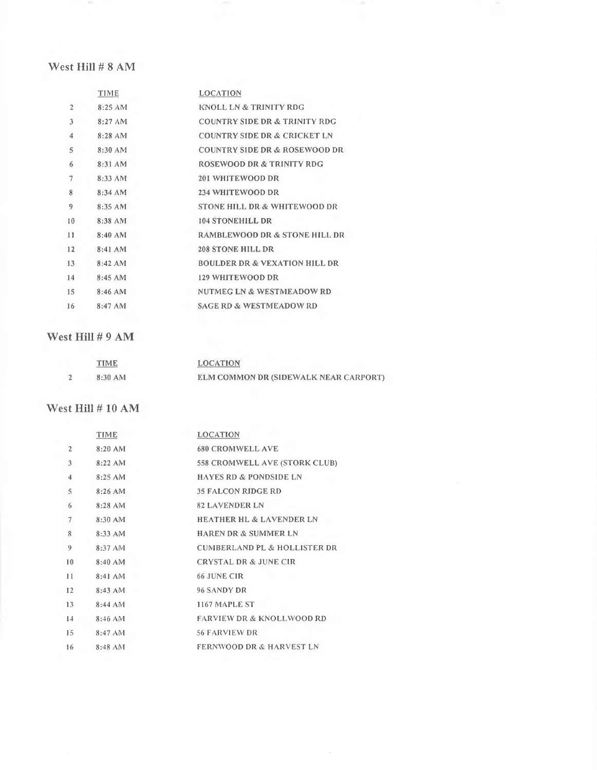### West Hill # 8 AM

 $\sim$ 

|                | TIME      | <b>LOCATION</b>                          |
|----------------|-----------|------------------------------------------|
| $\overline{2}$ | 8:25AM    | KNOLL LN & TRINITY RDG                   |
| 3              | $8:27$ AM | <b>COUNTRY SIDE DR &amp; TRINITY RDG</b> |
| 4              | $8:28$ AM | <b>COUNTRY SIDE DR &amp; CRICKET LN</b>  |
| 5              | $8:30$ AM | <b>COUNTRY SIDE DR &amp; ROSEWOOD DR</b> |
| 6              | $8:31$ AM | <b>ROSEWOOD DR &amp; TRINITY RDG</b>     |
| 7              | 8:33 AM   | 201 WHITEWOOD DR                         |
| 8              | $8:34$ AM | 234 WHITEWOOD DR                         |
| 9              | 8:35 AM   | STONE HILL DR & WHITEWOOD DR             |
| 10             | 8:38 AM   | <b>104 STONEHILL DR</b>                  |
| 11             | $8:40$ AM | RAMBLEWOOD DR & STONE HILL DR            |
| 12             | 8:41 AM   | <b>208 STONE HILL DR</b>                 |
| 13             | $8:42$ AM | <b>BOULDER DR &amp; VEXATION HILL DR</b> |
| 14             | 8:45AM    | 129 WHITEWOOD DR                         |
| 15             | $8:46$ AM | NUTMEG LN & WESTMEADOW RD                |
| 16             | $8:47$ AM | <b>SAGE RD &amp; WESTMEADOW RD</b>       |

### West Hill # 9 AM

| <b>TIME</b> | <b>LOCATION</b>                       |
|-------------|---------------------------------------|
| 8:30 AM     | ELM COMMON DR (SIDEWALK NEAR CARPORT) |

#### West Hill # 10 AM

|                | TIME      | <b>LOCATION</b>                         |
|----------------|-----------|-----------------------------------------|
| $\overline{2}$ | $8:20$ AM | <b>680 CROMWELL AVE</b>                 |
| 3              | $8:22$ AM | 558 CROMWELL AVE (STORK CLUB)           |
| $\overline{4}$ | 8:25 AM   | <b>HAYES RD &amp; PONDSIDE LN</b>       |
| $\mathsf S$    | $8:26$ AM | <b>35 FALCON RIDGE RD</b>               |
| 6              | 8:28 AM   | <b>82 LAVENDER LN</b>                   |
| 7              | $8:30$ AM | <b>HEATHER HL &amp; LAVENDER LN</b>     |
| 8              | 8:33 AM   | <b>HAREN DR &amp; SUMMER LN</b>         |
| 9              | 8:37 AM   | <b>CUMBERLAND PL &amp; HOLLISTER DR</b> |
| 10             | $8:40$ AM | <b>CRYSTAL DR &amp; JUNE CIR</b>        |
| 11             | $8:41$ AM | 66 JUNE CIR                             |
| 12             | 8:43 AM   | 96 SANDY DR                             |
| 13             | $8:44$ AM | 1167 MAPLE ST                           |
| 14             | $8:46$ AM | <b>FARVIEW DR &amp; KNOLLWOOD RD</b>    |
| 15             | $8:47$ AM | <b>56 FARVIEW DR</b>                    |
| 16             | $8:48$ AM | <b>FERNWOOD DR &amp; HARVEST LN</b>     |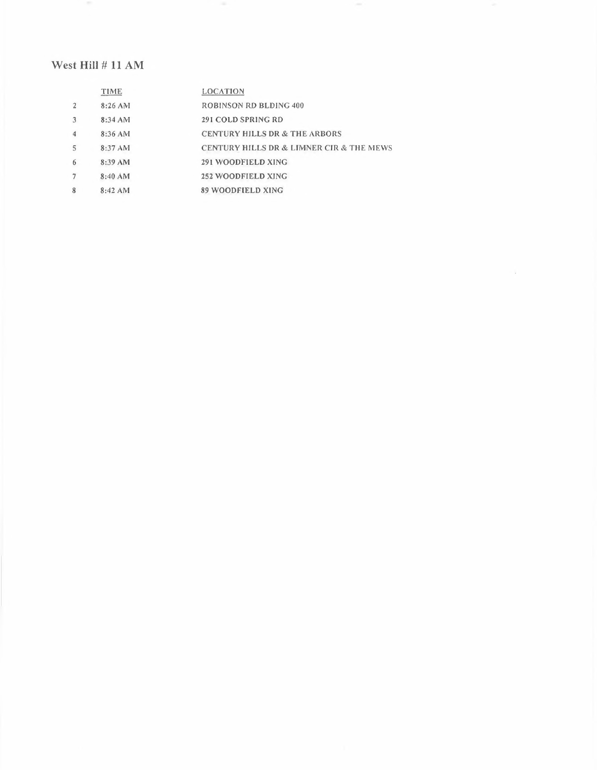## West Hill # 11 AM

|              | TIME      | <b>LOCATION</b>                          |
|--------------|-----------|------------------------------------------|
| $\mathbf{2}$ | $8:26$ AM | ROBINSON RD BLDING 400                   |
| 3            | $8:34$ AM | 291 COLD SPRING RD                       |
| 4            | 8:36 AM   | <b>CENTURY HILLS DR &amp; THE ARBORS</b> |
| 5            | 8:37 AM   | CENTURY HILLS DR & LIMNER CIR & THE MEWS |
| 6            | 8:39 AM   | 291 WOODFIELD XING                       |
|              | $8:40$ AM | <b>252 WOODFIELD XING</b>                |
| 8            | 8:42 AM   | 89 WOODFIELD XING                        |
|              |           |                                          |

 $\mathcal{L}$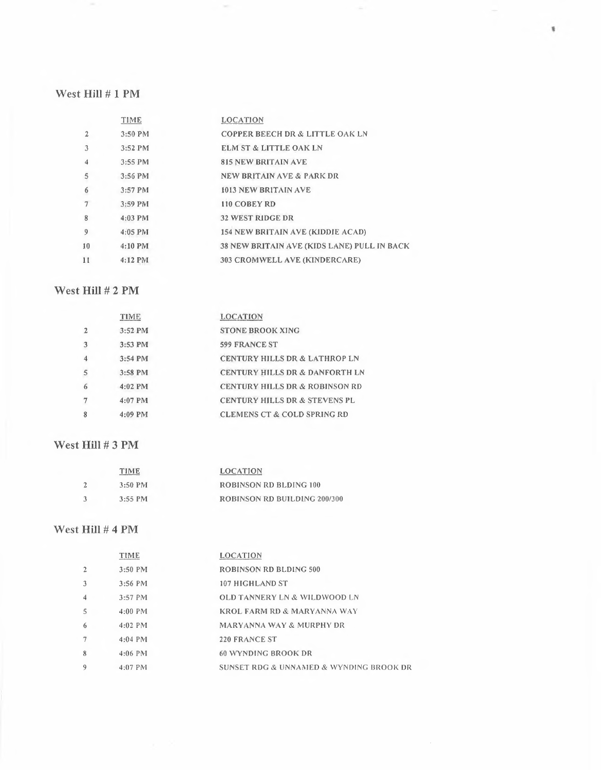#### West **Hill # 1 PM**

 $\sim$ 

|    | TIME      | <b>LOCATION</b>                                    |
|----|-----------|----------------------------------------------------|
| 2  | 3:50 PM   | <b>COPPER BEECH DR &amp; LITTLE OAK LN</b>         |
| 3  | 3:52 PM   | <b>ELM ST &amp; LITTLE OAK LN</b>                  |
| 4  | 3:55 PM   | <b>815 NEW BRITAIN AVE</b>                         |
| 5  | 3:56 PM   | <b>NEW BRITAIN AVE &amp; PARK DR</b>               |
| 6  | 3:57 PM   | <b>1013 NEW BRITAIN AVE</b>                        |
| 7  | 3:59 PM   | 110 COBEY RD                                       |
| 8  | $4:03$ PM | <b>32 WEST RIDGE DR</b>                            |
| 9  | $4:05$ PM | 154 NEW BRITAIN AVE (KIDDIE ACAD)                  |
| 10 | $4:10$ PM | <b>38 NEW BRITAIN AVE (KIDS LANE) PULL IN BACK</b> |
| 11 | $4:12$ PM | 303 CROMWELL AVE (KINDERCARE)                      |

 $\sim$ 

 $\sim$ 

 $\tilde{\mathbf{y}}$ 

## West **Hill # 2 PM**

|   | TIME      | <b>LOCATION</b>                           |
|---|-----------|-------------------------------------------|
| 2 | 3:52 PM   | <b>STONE BROOK XING</b>                   |
| 3 | 3:53 PM   | <b>599 FRANCE ST</b>                      |
| 4 | 3:54 PM   | <b>CENTURY HILLS DR &amp; LATHROP LN</b>  |
| 5 | $3:58$ PM | <b>CENTURY HILLS DR &amp; DANFORTH LN</b> |
| 6 | $4:02$ PM | <b>CENTURY HILLS DR &amp; ROBINSON RD</b> |
| 7 | $4:07$ PM | <b>CENTURY HILLS DR &amp; STEVENS PL</b>  |
| 8 | $4:09$ PM | <b>CLEMENS CT &amp; COLD SPRING RD</b>    |

### West **Hill #3 PM**

| TIME      | <b>LOCATION</b>              |
|-----------|------------------------------|
| $3:50$ PM | ROBINSON RD BLDING 100       |
| $3:55$ PM | ROBINSON RD BUILDING 200/300 |

## West Hill # 4 PM

|   | TIME      | <b>LOCATION</b>                         |
|---|-----------|-----------------------------------------|
|   | $3:50$ PM | <b>ROBINSON RD BLDING 500</b>           |
|   | $3:56$ PM | 107 HIGHLAND ST                         |
| 4 | $3:57$ PM | <b>OLD TANNERY LN &amp; WILDWOOD LN</b> |
| 5 | $4:00$ PM | KROL FARM RD & MARYANNA WAY             |
| 6 | $4:02$ PM | <b>MARYANNA WAY &amp; MURPHY DR</b>     |
|   | $4:04$ PM | 220 FRANCE ST                           |
| 8 | $4:06$ PM | 60 WYNDING BROOK DR                     |
| 9 | $4:07$ PM | SUNSET RDG & UNNAMED & WYNDING BROOK DR |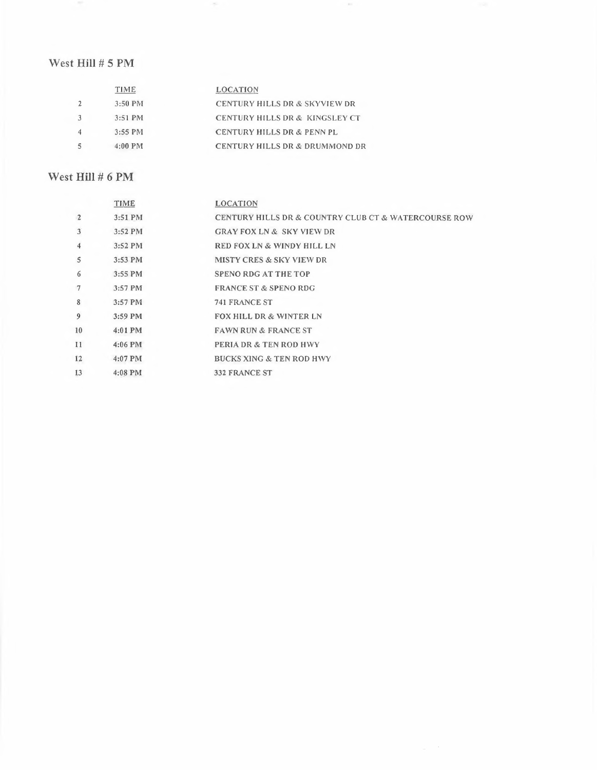## West Hill # 5 PM

| <b>TIME</b> | <b>LOCATION</b>                           |
|-------------|-------------------------------------------|
| 3:50 PM     | <b>CENTURY HILLS DR &amp; SKYVIEW DR</b>  |
| $3:51$ PM   | CENTURY HILLS DR & KINGSLEY CT            |
| 3:55 PM     | <b>CENTURY HILLS DR &amp; PENN PL</b>     |
| $4:00$ PM   | <b>CENTURY HILLS DR &amp; DRUMMOND DR</b> |
|             |                                           |

## West **Hill #** 6 PM

|                     | <b>TIME</b> | LOCATION                                                            |
|---------------------|-------------|---------------------------------------------------------------------|
| $\overline{2}$      | 3:51 PM     | <b>CENTURY HILLS DR &amp; COUNTRY CLUB CT &amp; WATERCOURSE ROW</b> |
| 3                   | 3:52 PM     | <b>GRAY FOX LN &amp; SKY VIEW DR</b>                                |
| $\overline{\bf{4}}$ | $3:52$ PM   | <b>RED FOX LN &amp; WINDY HILL LN</b>                               |
| $\mathsf{S}$        | $3:53$ PM   | <b>MISTY CRES &amp; SKY VIEW DR</b>                                 |
| 6                   | $3:55$ PM   | <b>SPENO RDG AT THE TOP</b>                                         |
| $\overline{7}$      | 3:57 PM     | <b>FRANCE ST &amp; SPENO RDG</b>                                    |
| 8                   | $3:57$ PM   | 741 FRANCE ST                                                       |
| 9                   | $3:59$ PM   | <b>FOX HILL DR &amp; WINTER LN</b>                                  |
| 10                  | 4:01 PM     | <b>FAWN RUN &amp; FRANCE ST</b>                                     |
| 11                  | $4:06$ PM   | <b>PERIA DR &amp; TEN ROD HWY</b>                                   |
| 12                  | $4:07$ PM   | <b>BUCKS XING &amp; TEN ROD HWY</b>                                 |
| 13                  | $4:08$ PM   | <b>332 FRANCE ST</b>                                                |
|                     |             |                                                                     |

 $\sim$  100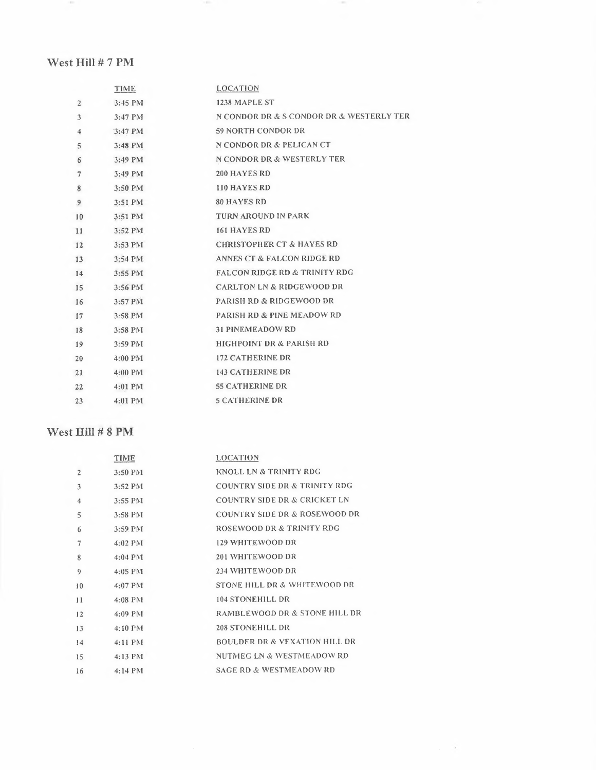## West **Hill#** 7 PM

 $\sim$  0.00

|                 | TIME              | <b>LOCATION</b>                          |
|-----------------|-------------------|------------------------------------------|
| $\overline{2}$  | $3:45$ PM         | 1238 MAPLE ST                            |
| 3               | $3:47$ PM         | N CONDOR DR & S CONDOR DR & WESTERLY TER |
| $\overline{4}$  | $3:47$ PM         | 59 NORTH CONDOR DR                       |
| 5               | 3:48 PM           | N CONDOR DR & PELICAN CT                 |
| 6               | $3:49$ PM         | N CONDOR DR & WESTERLY TER               |
| $\overline{7}$  | $3:49$ PM         | <b>200 HAYES RD</b>                      |
| 8               | 3:50 PM           | 110 HAYES RD                             |
| 9               | 3:51 PM           | <b>80 HAYES RD</b>                       |
| 10              | 3:51 PM           | <b>TURN AROUND IN PARK</b>               |
| 11              | 3:52 PM           | <b>161 HAYES RD</b>                      |
| 12              | 3:53 PM           | <b>CHRISTOPHER CT &amp; HAYES RD</b>     |
| 13 <sup>7</sup> | $3:54 \text{ PM}$ | ANNES CT & FALCON RIDGE RD               |
| 14              | 3:55 PM           | <b>FALCON RIDGE RD &amp; TRINITY RDG</b> |
| 15              | 3:56 PM           | <b>CARLTON LN &amp; RIDGEWOOD DR</b>     |
| 16              | 3:57 PM           | <b>PARISH RD &amp; RIDGEWOOD DR</b>      |
| 17              | $3:58$ PM         | <b>PARISH RD &amp; PINE MEADOW RD</b>    |
| 18              | 3:58 PM           | <b>31 PINEMEADOW RD</b>                  |
| 19              | 3:59 PM           | <b>HIGHPOINT DR &amp; PARISH RD</b>      |
| 20              | 4:00 PM           | <b>172 CATHERINE DR</b>                  |
| 21              | 4:00 PM           | <b>143 CATHERINE DR</b>                  |
| 22              | $4:01$ PM         | <b>55 CATHERINE DR</b>                   |
| 23              | $4:01$ PM         | <b>5 CATHERINE DR</b>                    |
|                 |                   |                                          |

**STATE** 

×

# West **Hill** # 8 PM

|                | TIME      | LOCATION                                 |
|----------------|-----------|------------------------------------------|
| $\overline{2}$ | 3:50 PM   | KNOLL LN & TRINITY RDG                   |
| 3              | $3:52$ PM | <b>COUNTRY SIDE DR &amp; TRINITY RDG</b> |
| 4              | 3:55 PM   | COUNTRY SIDE DR & CRICKET LN             |
| 5              | 3:58 PM   | COUNTRY SIDE DR & ROSEWOOD DR            |
| 6              | 3:59 PM   | <b>ROSEWOOD DR &amp; TRINITY RDG</b>     |
| 7              | $4:02$ PM | <b>129 WHITEWOOD DR</b>                  |
| 8              | $4:04$ PM | 201 WHITEWOOD DR                         |
| 9              | $4:05$ PM | 234 WHITEWOOD DR                         |
| 10             | $4:07$ PM | STONE HILL DR & WHITEWOOD DR             |
| 11             | $4:08$ PM | <b>104 STONEHILL DR</b>                  |
| 12             | $4:09$ PM | RAMBLEWOOD DR & STONE HILL DR            |
| 13             | 4:10 PM   | <b>208 STONEHILL DR</b>                  |
| 14             | $4:11$ PM | <b>BOULDER DR &amp; VEXATION HILL DR</b> |
| 15             | $4:13$ PM | NUTMEG LN & WESTMEADOW RD                |
| 16             | $4:14$ PM | <b>SAGE RD &amp; WESTMEADOW RD</b>       |
|                |           |                                          |